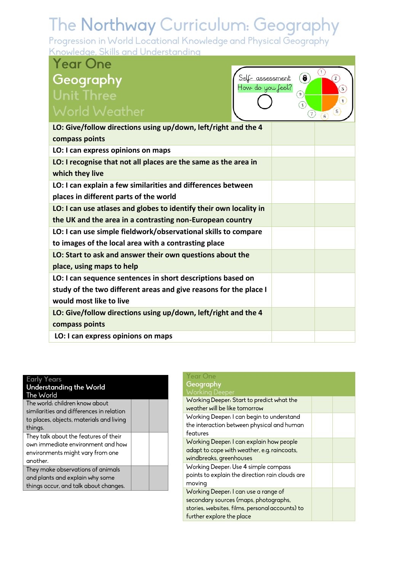| <b>Year One</b>                                                                                        |                                                  |                                |
|--------------------------------------------------------------------------------------------------------|--------------------------------------------------|--------------------------------|
| Geography                                                                                              | 6<br><u>Self- assessment</u><br>How do you feel? | Œ<br>$\mathbf{z}$              |
| <b>Unit Three</b>                                                                                      | ◉                                                | $\left[3\right]$<br>$\ddot{a}$ |
| <b>World Weather</b>                                                                                   | $\mathbf{s}$<br>7)                               | $\overline{5}$                 |
| LO: Give/follow directions using up/down, left/right and the 4<br>compass points                       |                                                  |                                |
| LO: I can express opinions on maps                                                                     |                                                  |                                |
| LO: I recognise that not all places are the same as the area in<br>which they live                     |                                                  |                                |
| LO: I can explain a few similarities and differences between<br>places in different parts of the world |                                                  |                                |
| LO: I can use atlases and globes to identify their own locality in                                     |                                                  |                                |
| the UK and the area in a contrasting non-European country                                              |                                                  |                                |
| LO: I can use simple fieldwork/observational skills to compare                                         |                                                  |                                |
| to images of the local area with a contrasting place                                                   |                                                  |                                |
| LO: Start to ask and answer their own questions about the                                              |                                                  |                                |
| place, using maps to help                                                                              |                                                  |                                |
| LO: I can sequence sentences in short descriptions based on                                            |                                                  |                                |
| study of the two different areas and give reasons for the place I                                      |                                                  |                                |
| would most like to live                                                                                |                                                  |                                |
| LO: Give/follow directions using up/down, left/right and the 4                                         |                                                  |                                |
| compass points                                                                                         |                                                  |                                |
| LO: I can express opinions on maps                                                                     |                                                  |                                |

#### **Early Years** Understanding the World The World The world: children know about

| similarities and differences in relation<br>to places, objects, materials and living |  |
|--------------------------------------------------------------------------------------|--|
| things.                                                                              |  |
| They talk about the features of their                                                |  |
| own immediate environment and how                                                    |  |
| environments might vary from one                                                     |  |
| another.                                                                             |  |
| They make observations of animals                                                    |  |
| and plants and explain why some                                                      |  |
| things occur, and talk about changes.                                                |  |

| Year One<br>Geography<br><b>Working Deeper</b>                                                                                                                |  |
|---------------------------------------------------------------------------------------------------------------------------------------------------------------|--|
| Working Deeper: Start to predict what the<br>weather will be like tomorrow                                                                                    |  |
| Working Deeper: I can begin to understand<br>the interaction between physical and human<br>features                                                           |  |
| Working Deeper: I can explain how people<br>adapt to cope with weather, e.g. raincoats,<br>windbreaks, greenhouses                                            |  |
| Working Deeper: Use 4 simple compass<br>points to explain the direction rain clouds are<br>moving                                                             |  |
| Working Deeper: I can use a range of<br>secondary sources (maps, photographs,<br>stories, websites, films, personal accounts) to<br>further explore the place |  |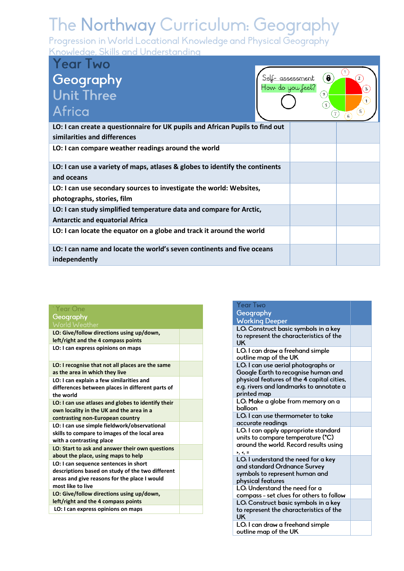| <b>Year Two</b><br>Geography                                                                                  |                                      | $\theta$         | (1)                                                       |
|---------------------------------------------------------------------------------------------------------------|--------------------------------------|------------------|-----------------------------------------------------------|
| <b>Unit Three</b><br>Africa                                                                                   | Self- assessment<br>How do you feel? | $9^{\circ}$<br>s | 3<br>$\ddot{+}$<br>$5^{\circ}$<br>$\tau$<br>$\mathcal{C}$ |
| LO: I can create a questionnaire for UK pupils and African Pupils to find out<br>similarities and differences |                                      |                  |                                                           |
| LO: I can compare weather readings around the world                                                           |                                      |                  |                                                           |
| LO: I can use a variety of maps, atlases & globes to identify the continents<br>and oceans                    |                                      |                  |                                                           |
| LO: I can use secondary sources to investigate the world: Websites,<br>photographs, stories, film             |                                      |                  |                                                           |
| LO: I can study simplified temperature data and compare for Arctic,<br><b>Antarctic and equatorial Africa</b> |                                      |                  |                                                           |
| LO: I can locate the equator on a globe and track it around the world                                         |                                      |                  |                                                           |
| LO: I can name and locate the world's seven continents and five oceans<br>independently                       |                                      |                  |                                                           |

| rear One  |  |
|-----------|--|
| Geography |  |
|           |  |

| י יש שי א פשט ופ                                                                                                                                               |  |
|----------------------------------------------------------------------------------------------------------------------------------------------------------------|--|
| LO: Give/follow directions using up/down,<br>left/right and the 4 compass points                                                                               |  |
| LO: I can express opinions on maps                                                                                                                             |  |
| LO: I recognise that not all places are the same<br>as the area in which they live                                                                             |  |
| LO: I can explain a few similarities and<br>differences between places in different parts of<br>the world                                                      |  |
| LO: I can use atlases and globes to identify their<br>own locality in the UK and the area in a<br>contrasting non-European country                             |  |
| LO: I can use simple fieldwork/observational<br>skills to compare to images of the local area<br>with a contrasting place                                      |  |
| LO: Start to ask and answer their own questions<br>about the place, using maps to help                                                                         |  |
| LO: I can sequence sentences in short<br>descriptions based on study of the two different<br>areas and give reasons for the place I would<br>most like to live |  |
| LO: Give/follow directions using up/down,<br>left/right and the 4 compass points                                                                               |  |
| LO: I can express opinions on maps                                                                                                                             |  |
|                                                                                                                                                                |  |

| Year Two                                                                    |  |
|-----------------------------------------------------------------------------|--|
| Geography                                                                   |  |
| <b>Working Deeper</b>                                                       |  |
| LO: Construct basic symbols in a key                                        |  |
| to represent the characteristics of the                                     |  |
| UK                                                                          |  |
| LO: I can draw a freehand simple                                            |  |
| outline map of the UK                                                       |  |
| LO: I can use aerial photographs or<br>Google Earth to recognise human and  |  |
| physical features of the 4 capital cities,                                  |  |
| e.g. rivers and landmarks to annotate a                                     |  |
| printed map                                                                 |  |
| LO: Make a globe from memory on a                                           |  |
| balloon                                                                     |  |
| LO: I can use thermometer to take                                           |  |
| accurate readings                                                           |  |
| LO: I can apply appropriate standard                                        |  |
| units to compare temperature (°C)                                           |  |
| around the world. Record results using<br>$\rightarrow, \leftarrow, \equiv$ |  |
| LO: I understand the need for a key                                         |  |
| and standard Ordnance Survey                                                |  |
| symbols to represent human and                                              |  |
| physical features                                                           |  |
| LO: Understand the need for a                                               |  |
| compass - set clues for others to follow                                    |  |
| LO: Construct basic symbols in a key                                        |  |
| to represent the characteristics of the                                     |  |
| <b>UK</b>                                                                   |  |
| LO: I can draw a freehand simple<br>outline map of the UK                   |  |
|                                                                             |  |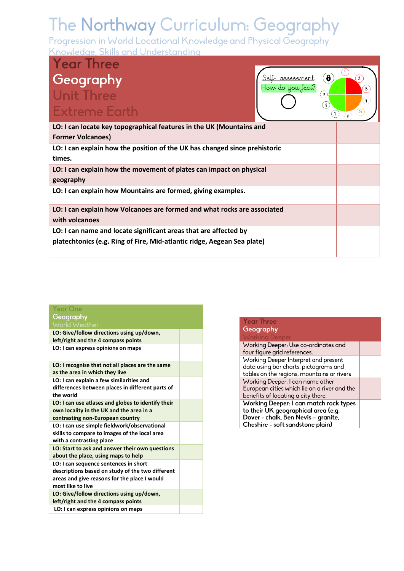| <b>Year Three</b>                                                          |                                      |                          |          |
|----------------------------------------------------------------------------|--------------------------------------|--------------------------|----------|
| Geography<br><b>Unit Three</b>                                             | Self- assessment<br>How do you feel? | $\bullet$<br>$9^{\circ}$ | 2<br>3   |
| <b>Extreme Earth</b>                                                       |                                      | S                        | $+$<br>5 |
|                                                                            |                                      |                          | 6        |
| LO: I can locate key topographical features in the UK (Mountains and       |                                      |                          |          |
| <b>Former Volcanoes)</b>                                                   |                                      |                          |          |
| LO: I can explain how the position of the UK has changed since prehistoric |                                      |                          |          |
| times.                                                                     |                                      |                          |          |
| LO: I can explain how the movement of plates can impact on physical        |                                      |                          |          |
| geography                                                                  |                                      |                          |          |
| LO: I can explain how Mountains are formed, giving examples.               |                                      |                          |          |
| LO: I can explain how Volcanoes are formed and what rocks are associated   |                                      |                          |          |
| with volcanoes                                                             |                                      |                          |          |
| LO: I can name and locate significant areas that are affected by           |                                      |                          |          |
| platechtonics (e.g. Ring of Fire, Mid-atlantic ridge, Aegean Sea plate)    |                                      |                          |          |

| Year One                                                                                                                                                       |  |
|----------------------------------------------------------------------------------------------------------------------------------------------------------------|--|
| Geography                                                                                                                                                      |  |
| World Weather                                                                                                                                                  |  |
| LO: Give/follow directions using up/down,<br>left/right and the 4 compass points                                                                               |  |
| LO: I can express opinions on maps                                                                                                                             |  |
| LO: I recognise that not all places are the same<br>as the area in which they live                                                                             |  |
| LO: I can explain a few similarities and<br>differences between places in different parts of<br>the world                                                      |  |
| LO: I can use atlases and globes to identify their<br>own locality in the UK and the area in a<br>contrasting non-European country                             |  |
| LO: I can use simple fieldwork/observational<br>skills to compare to images of the local area<br>with a contrasting place                                      |  |
| LO: Start to ask and answer their own questions<br>about the place, using maps to help                                                                         |  |
| LO: I can sequence sentences in short<br>descriptions based on study of the two different<br>areas and give reasons for the place I would<br>most like to live |  |
| LO: Give/follow directions using up/down,<br>left/right and the 4 compass points                                                                               |  |
| LO: I can express opinions on maps                                                                                                                             |  |

| <b>Year Three</b>                            |  |
|----------------------------------------------|--|
| Geography                                    |  |
| <b>Working Deeper</b>                        |  |
| Working Deeper: Use co-ordinates and         |  |
| four figure grid references.                 |  |
| Working Deeper Interpret and present         |  |
| data using bar charts, pictograms and        |  |
| tables on the regions, mountains or rivers   |  |
| Working Deeper: I can name other             |  |
| European cities which lie on a river and the |  |
| benefits of locating a city there.           |  |
| Working Deeper: I can match rock types       |  |
| to their UK geographical area (e.g.          |  |
| Dover - chalk, Ben Nevis - granite,          |  |
| Cheshire - soft sandstone plain)             |  |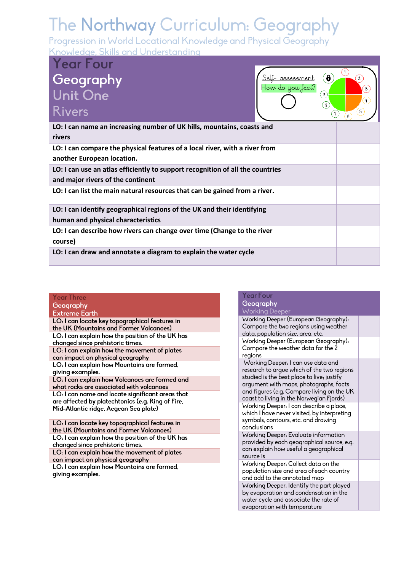Progression in World Locational Knowledge and Physical Geography Knowledge, Skills and Understanding

**Year Four** Geography<br>Unit One Rivers



| LO: I can name an increasing number of UK hills, mountains, coasts and<br>rivers                                    |  |
|---------------------------------------------------------------------------------------------------------------------|--|
| LO: I can compare the physical features of a local river, with a river from<br>another European location.           |  |
| LO: I can use an atlas efficiently to support recognition of all the countries<br>and major rivers of the continent |  |
| LO: I can list the main natural resources that can be gained from a river.                                          |  |
| LO: I can identify geographical regions of the UK and their identifying<br>human and physical characteristics       |  |
| LO: I can describe how rivers can change over time (Change to the river<br>course)                                  |  |
| LO: I can draw and annotate a diagram to explain the water cycle                                                    |  |

#### **Year Three** Geography **Extreme Eart**

| LO: I can locate key topographical features in<br>the UK (Mountains and Former Volcanoes)                                                      |  |
|------------------------------------------------------------------------------------------------------------------------------------------------|--|
| LO: I can explain how the position of the UK has<br>changed since prehistoric times.                                                           |  |
| LO: I can explain how the movement of plates<br>can impact on physical geography                                                               |  |
| LO: I can explain how Mountains are formed,<br>giving examples.                                                                                |  |
| LO: I can explain how Volcanoes are formed and<br>what rocks are associated with volcanoes                                                     |  |
| LO: I can name and locate significant areas that<br>are affected by platechtonics (e.g. Ring of Fire,<br>Mid-Atlantic ridge, Aegean Sea plate) |  |
| LO: I can locate key topographical features in<br>the UK (Mountains and Former Volcanoes)                                                      |  |
| LO: I can explain how the position of the UK has<br>changed since prehistoric times.                                                           |  |
| LO: I can explain how the movement of plates<br>can impact on physical geography                                                               |  |
| LO: I can explain how Mountains are formed,<br>giving examples.                                                                                |  |
|                                                                                                                                                |  |

#### **Year Four** Geography **Working Deeper** Working Deeper (European Geography): Compare the two regions using weather data, population size, area, etc. Working Deeper (European Geography): Compare the weather data for the 2 regions Working Deeper: I can use data and research to argue which of the two regions studied is the best place to live; justify argument with maps, photographs, facts and figures (e.g. Compare living on the UK coast to living in the Norwegian Fjords) Working Deeper: I can describe a place, which I have never visited, by interpreting symbols, contours, etc. and drawing conclusions Working Deeper: Evaluate information provided by each geographical source, e.g. can explain how useful a geographical source is Working Deeper: Collect data on the population size and area of each country and add to the annotated map Working Deeper: Identify the part played by evaporation and condensation in the water cycle and associate the rate of evaporation with temperature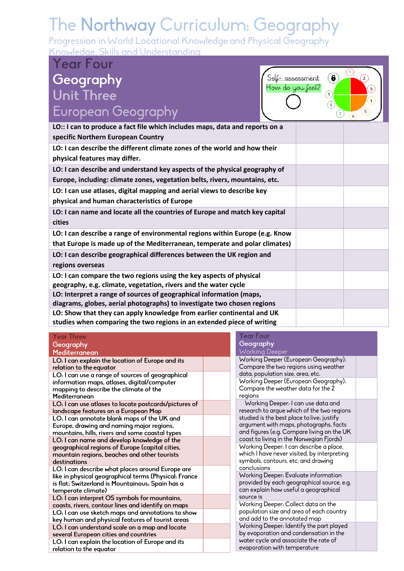Progression in World Locational Knowledge and Physical Geography Knowledge, Skills and Understanding

### **Year Four** Geography<br>Unit Three European Geography



| LO:: I can to produce a fact file which includes maps, data and reports on a |  |
|------------------------------------------------------------------------------|--|
| specific Northern European Country                                           |  |
| LO: I can describe the different climate zones of the world and how their    |  |
| physical features may differ.                                                |  |
| LO: I can describe and understand key aspects of the physical geography of   |  |
| Europe, including: climate zones, vegetation belts, rivers, mountains, etc.  |  |
| LO: I can use atlases, digital mapping and aerial views to describe key      |  |
| physical and human characteristics of Europe                                 |  |
| LO: I can name and locate all the countries of Europe and match key capital  |  |
| cities                                                                       |  |
| LO: I can describe a range of environmental regions within Europe (e.g. Know |  |
| that Europe is made up of the Mediterranean, temperate and polar climates)   |  |
| LO: I can describe geographical differences between the UK region and        |  |
| regions overseas                                                             |  |
| LO: I can compare the two regions using the key aspects of physical          |  |
| geography, e.g. climate, vegetation, rivers and the water cycle              |  |
| LO: Interpret a range of sources of geographical information (maps,          |  |
| diagrams, globes, aerial photographs) to investigate two chosen regions      |  |
| LO: Show that they can apply knowledge from earlier continental and UK       |  |
| studies when comparing the two regions in an extended piece of writing       |  |

#### **Year Three** Geography

| Mediterranean                                                                                                                               |
|---------------------------------------------------------------------------------------------------------------------------------------------|
| LO: I can explain the location of Europe and its                                                                                            |
| relation to the equator                                                                                                                     |
| LO: I can use a range of sources of geographical<br>information maps, atlases, digital/computer                                             |
| mapping to describe the climate of the                                                                                                      |
| Mediterranean                                                                                                                               |
| LO: I can use atlases to locate postcards/pictures of<br>landscape features on a European Map                                               |
| LO: I can annotate blank maps of the UK and<br>Europe, drawing and naming major regions,<br>mountains, hills, rivers and some coastal types |
| LO: I can name and develop knowledge of the                                                                                                 |

geographical regions of Europe (capital cities, mountain regions, beaches and other tourists destinations

LO: I can describe what places around Europe are like in physical geographical terms (Physical: France is flat, Switzerland is Mountainous, Spain has a temperate climate)

LO: I can interpret OS symbols for mountains, coasts, rivers, contour lines and identify on maps LO: I can use sketch maps and annotations to show key human and physical features of tourist areas LO: I can understand scale on a map and locate several European cities and countries

LO: I can explain the location of Europe and its relation to the equator

#### **Year Four** Geography

| MANI IN DECACI                                                                                                                                                                                                                                                     |  |
|--------------------------------------------------------------------------------------------------------------------------------------------------------------------------------------------------------------------------------------------------------------------|--|
| Working Deeper (European Geography):<br>Compare the two regions using weather<br>data, population size, area, etc.                                                                                                                                                 |  |
| Working Deeper (European Geography):<br>Compare the weather data for the 2<br>regions                                                                                                                                                                              |  |
| Working Deeper: I can use data and<br>research to argue which of the two regions<br>studied is the best place to live; justify<br>argument with maps, photographs, facts<br>and figures (e.g. Compare living on the UK<br>coast to living in the Norwegian Fjords) |  |
| Working Deeper: I can describe a place,<br>which I have never visited, by interpreting<br>symbols, contours, etc. and drawing<br>conclusions                                                                                                                       |  |
| Working Deeper: Evaluate information<br>provided by each geographical source, e.g.<br>can explain how useful a geographical<br>source is                                                                                                                           |  |
| Working Deeper: Collect data on the<br>population size and area of each country<br>and add to the annotated map                                                                                                                                                    |  |
| Working Deeper: Identify the part played<br>by evaporation and condensation in the<br>water cycle and associate the rate of<br>evaporation with temperature                                                                                                        |  |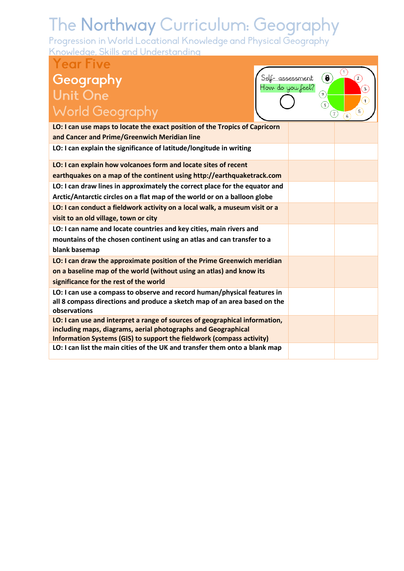| Year Five                                                                                                                                                                                                             |                     |                                                                  |
|-----------------------------------------------------------------------------------------------------------------------------------------------------------------------------------------------------------------------|---------------------|------------------------------------------------------------------|
| Geography<br><u>Self- assessment</u><br>How do you feel?<br><b>Unit One</b><br><b>World Geography</b>                                                                                                                 | $\bullet$<br>◉<br>S | Ĩ.<br>$\mathbf{z}$<br>3<br>$\ddot{+}$<br>5<br>(7)<br>$6^{\circ}$ |
| LO: I can use maps to locate the exact position of the Tropics of Capricorn                                                                                                                                           |                     |                                                                  |
| and Cancer and Prime/Greenwich Meridian line                                                                                                                                                                          |                     |                                                                  |
| LO: I can explain the significance of latitude/longitude in writing                                                                                                                                                   |                     |                                                                  |
| LO: I can explain how volcanoes form and locate sites of recent                                                                                                                                                       |                     |                                                                  |
| earthquakes on a map of the continent using http://earthquaketrack.com                                                                                                                                                |                     |                                                                  |
| LO: I can draw lines in approximately the correct place for the equator and                                                                                                                                           |                     |                                                                  |
| Arctic/Antarctic circles on a flat map of the world or on a balloon globe                                                                                                                                             |                     |                                                                  |
| LO: I can conduct a fieldwork activity on a local walk, a museum visit or a                                                                                                                                           |                     |                                                                  |
| visit to an old village, town or city                                                                                                                                                                                 |                     |                                                                  |
| LO: I can name and locate countries and key cities, main rivers and                                                                                                                                                   |                     |                                                                  |
| mountains of the chosen continent using an atlas and can transfer to a<br>blank basemap                                                                                                                               |                     |                                                                  |
| LO: I can draw the approximate position of the Prime Greenwich meridian                                                                                                                                               |                     |                                                                  |
| on a baseline map of the world (without using an atlas) and know its                                                                                                                                                  |                     |                                                                  |
| significance for the rest of the world                                                                                                                                                                                |                     |                                                                  |
| LO: I can use a compass to observe and record human/physical features in<br>all 8 compass directions and produce a sketch map of an area based on the<br>observations                                                 |                     |                                                                  |
| LO: I can use and interpret a range of sources of geographical information,<br>including maps, diagrams, aerial photographs and Geographical<br>Information Systems (GIS) to support the fieldwork (compass activity) |                     |                                                                  |
| LO: I can list the main cities of the UK and transfer them onto a blank map                                                                                                                                           |                     |                                                                  |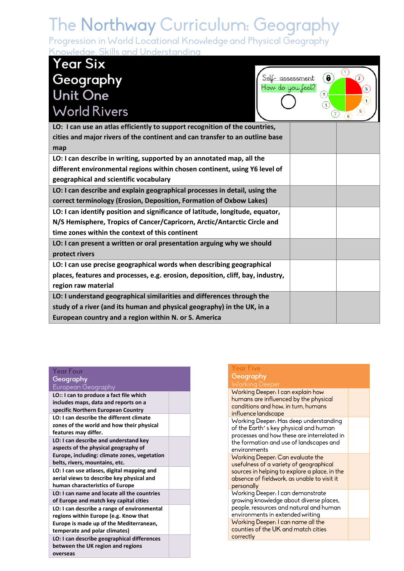Progression in World Locational Knowledge and Physical Geography Knowledge, Skills and Understanding

## **Year Six** Geography<br>Unit One **World Rivers**



| LO: I can use an atlas efficiently to support recognition of the countries,     |  |
|---------------------------------------------------------------------------------|--|
| cities and major rivers of the continent and can transfer to an outline base    |  |
| map                                                                             |  |
| LO: I can describe in writing, supported by an annotated map, all the           |  |
| different environmental regions within chosen continent, using Y6 level of      |  |
| geographical and scientific vocabulary                                          |  |
| LO: I can describe and explain geographical processes in detail, using the      |  |
| correct terminology (Erosion, Deposition, Formation of Oxbow Lakes)             |  |
| LO: I can identify position and significance of latitude, longitude, equator,   |  |
| N/S Hemisphere, Tropics of Cancer/Capricorn, Arctic/Antarctic Circle and        |  |
| time zones within the context of this continent                                 |  |
| LO: I can present a written or oral presentation arguing why we should          |  |
| protect rivers                                                                  |  |
| LO: I can use precise geographical words when describing geographical           |  |
| places, features and processes, e.g. erosion, deposition, cliff, bay, industry, |  |
| region raw material                                                             |  |
| LO: I understand geographical similarities and differences through the          |  |
| study of a river (and its human and physical geography) in the UK, in a         |  |
| European country and a region within N. or S. America                           |  |
|                                                                                 |  |

#### **Year Four** Geography European Geography **LO:: I can to produce a fact file which includes maps, data and reports on a specific Northern European Country LO: I can describe the different climate zones of the world and how their physical features may differ. LO: I can describe and understand key aspects of the physical geography of Europe, including: climate zones, vegetation belts, rivers, mountains, etc. LO: I can use atlases, digital mapping and aerial views to describe key physical and human characteristics of Europe LO: I can name and locate all the countries of Europe and match key capital cities LO: I can describe a range of environmental regions within Europe (e.g. Know that Europe is made up of the Mediterranean, temperate and polar climates) LO: I can describe geographical differences between the UK region and regions**

**overseas**

#### Year Five Geography **Working De** Working Deeper: I can explain how humans are influenced by the physical conditions and how, in turn, humans influence landscape Working Deeper: Has deep understanding of the Earth's key physical and human processes and how these are interrelated in the formation and use of landscapes and environments Working Deeper: Can evaluate the usefulness of a variety of aeographical sources in helping to explore a place, in the absence of fieldwork, as unable to visit it personally Working Deeper: I can demonstrate growing knowledge about diverse places, people, resources and natural and human environments in extended writing Working Deeper: I can name all the counties of the UK and match cities correctly